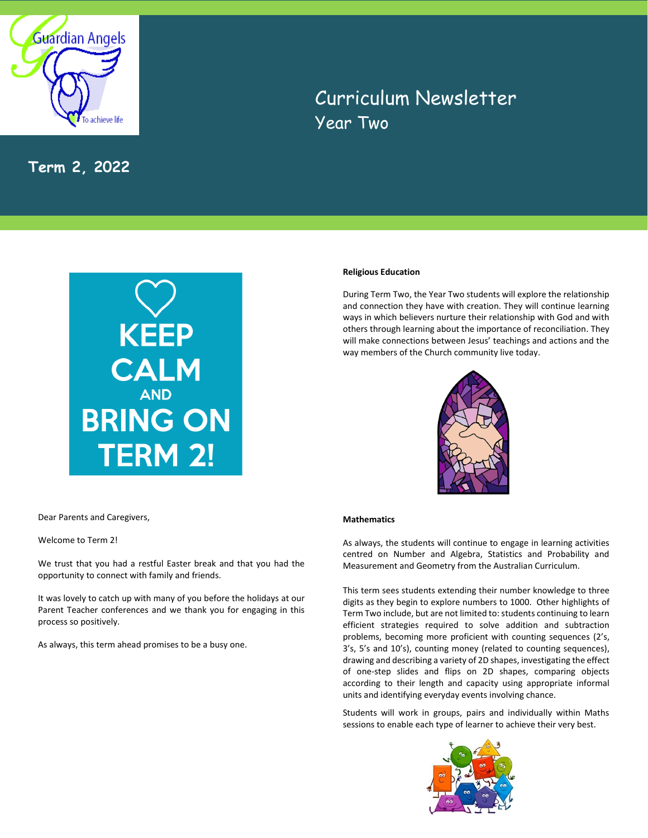

**Term 2, 2022**

# Curriculum Newsletter Year Two



## **Religious Education**

During Term Two, the Year Two students will explore the relationship and connection they have with creation. They will continue learning ways in which believers nurture their relationship with God and with others through learning about the importance of reconciliation. They will make connections between Jesus' teachings and actions and the way members of the Church community live today.



Dear Parents and Caregivers,

Welcome to Term 2!

We trust that you had a restful Easter break and that you had the opportunity to connect with family and friends.

It was lovely to catch up with many of you before the holidays at our Parent Teacher conferences and we thank you for engaging in this process so positively.

As always, this term ahead promises to be a busy one.

## **Mathematics**

As always, the students will continue to engage in learning activities centred on Number and Algebra, Statistics and Probability and Measurement and Geometry from the Australian Curriculum.

This term sees students extending their number knowledge to three digits as they begin to explore numbers to 1000. Other highlights of Term Two include, but are not limited to:students continuing to learn efficient strategies required to solve addition and subtraction problems, becoming more proficient with counting sequences (2's, 3's, 5's and 10's), counting money (related to counting sequences), drawing and describing a variety of 2D shapes, investigating the effect of one-step slides and flips on 2D shapes, comparing objects according to their length and capacity using appropriate informal units and identifying everyday events involving chance.

Students will work in groups, pairs and individually within Maths sessions to enable each type of learner to achieve their very best.

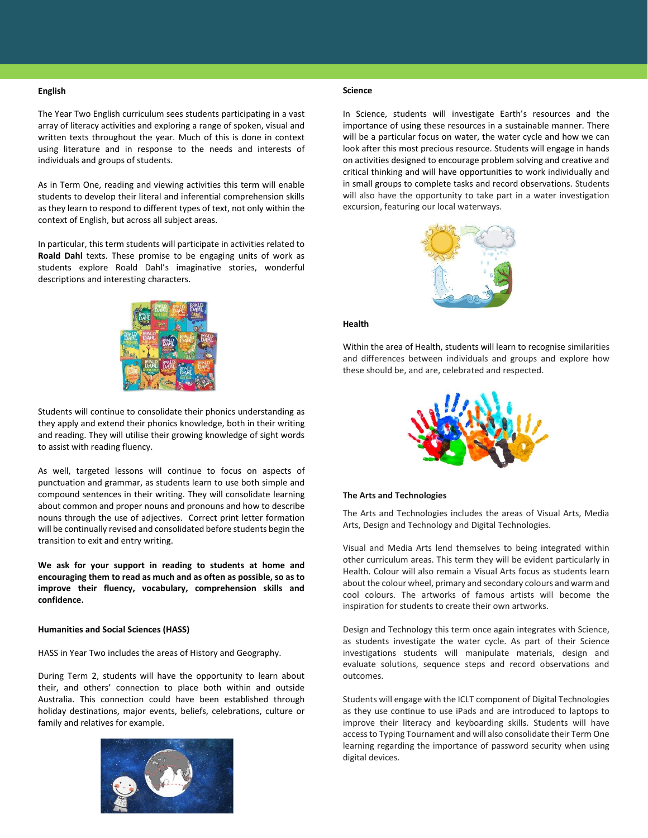## **English**

The Year Two English curriculum sees students participating in a vast array of literacy activities and exploring a range of spoken, visual and written texts throughout the year. Much of this is done in context using literature and in response to the needs and interests of individuals and groups of students.

As in Term One, reading and viewing activities this term will enable students to develop their literal and inferential comprehension skills as they learn to respond to different types of text, not only within the context of English, but across all subject areas.

In particular, this term students will participate in activities related to **Roald Dahl** texts. These promise to be engaging units of work as students explore Roald Dahl's imaginative stories, wonderful descriptions and interesting characters.



Students will continue to consolidate their phonics understanding as they apply and extend their phonics knowledge, both in their writing and reading. They will utilise their growing knowledge of sight words to assist with reading fluency.

As well, targeted lessons will continue to focus on aspects of punctuation and grammar, as students learn to use both simple and compound sentences in their writing. They will consolidate learning about common and proper nouns and pronouns and how to describe nouns through the use of adjectives. Correct print letter formation will be continually revised and consolidated before students begin the transition to exit and entry writing.

**We ask for your support in reading to students at home and encouraging them to read as much and as often as possible, so as to improve their fluency, vocabulary, comprehension skills and confidence.**

#### **Humanities and Social Sciences (HASS)**

HASS in Year Two includes the areas of History and Geography.

During Term 2, students will have the opportunity to learn about their, and others' connection to place both within and outside Australia. This connection could have been established through holiday destinations, major events, beliefs, celebrations, culture or family and relatives for example.



### **Science**

In Science, students will investigate Earth's resources and the importance of using these resources in a sustainable manner. There will be a particular focus on water, the water cycle and how we can look after this most precious resource. Students will engage in hands on activities designed to encourage problem solving and creative and critical thinking and will have opportunities to work individually and in small groups to complete tasks and record observations. Students will also have the opportunity to take part in a water investigation excursion, featuring our local waterways.



## **Health**

Within the area of Health, students will learn to recognise similarities and differences between individuals and groups and explore how these should be, and are, celebrated and respected.



#### **The Arts and Technologies**

The Arts and Technologies includes the areas of Visual Arts, Media Arts, Design and Technology and Digital Technologies.

Visual and Media Arts lend themselves to being integrated within other curriculum areas. This term they will be evident particularly in Health. Colour will also remain a Visual Arts focus as students learn about the colour wheel, primary and secondary colours and warm and cool colours. The artworks of famous artists will become the inspiration for students to create their own artworks.

Design and Technology this term once again integrates with Science, as students investigate the water cycle. As part of their Science investigations students will manipulate materials, design and evaluate solutions, sequence steps and record observations and outcomes.

Students will engage with the ICLT component of Digital Technologies as they use continue to use iPads and are introduced to laptops to improve their literacy and keyboarding skills. Students will have access to Typing Tournament and will also consolidate their Term One learning regarding the importance of password security when using digital devices.